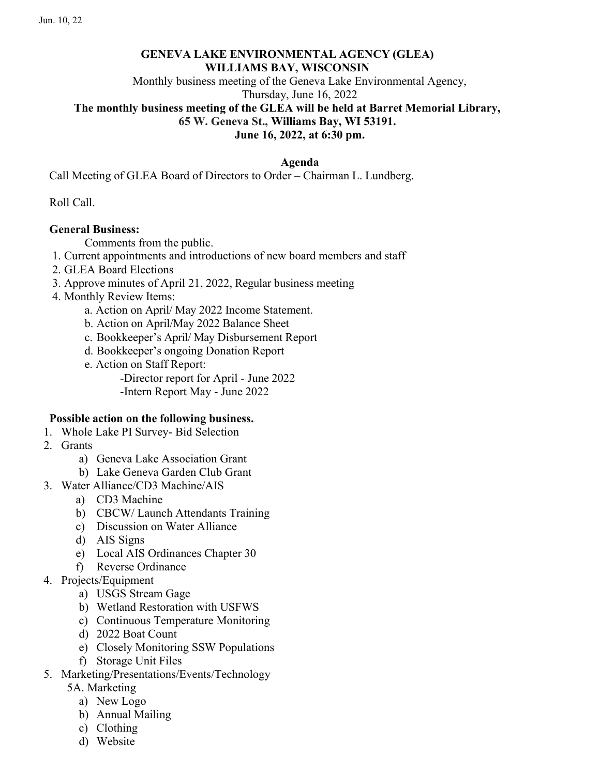# GENEVA LAKE ENVIRONMENTAL AGENCY (GLEA) WILLIAMS BAY, WISCONSIN

Monthly business meeting of the Geneva Lake Environmental Agency,

Thursday, June 16, 2022

# The monthly business meeting of the GLEA will be held at Barret Memorial Library,

65 W. Geneva St., Williams Bay, WI 53191.

June 16, 2022, at 6:30 pm.

### Agenda

Call Meeting of GLEA Board of Directors to Order – Chairman L. Lundberg.

Roll Call.

## General Business:

Comments from the public.

- 1. Current appointments and introductions of new board members and staff
- 2. GLEA Board Elections
- 3. Approve minutes of April 21, 2022, Regular business meeting
- 4. Monthly Review Items:
	- a. Action on April/ May 2022 Income Statement.
	- b. Action on April/May 2022 Balance Sheet
	- c. Bookkeeper's April/ May Disbursement Report
	- d. Bookkeeper's ongoing Donation Report
	- e. Action on Staff Report:

-Director report for April - June 2022

-Intern Report May - June 2022

## Possible action on the following business.

- 1. Whole Lake PI Survey- Bid Selection
- 2. Grants
	- a) Geneva Lake Association Grant
	- b) Lake Geneva Garden Club Grant
- 3. Water Alliance/CD3 Machine/AIS
	- a) CD3 Machine
	- b) CBCW/ Launch Attendants Training
	- c) Discussion on Water Alliance
	- d) AIS Signs
	- e) Local AIS Ordinances Chapter 30
	- f) Reverse Ordinance
- 4. Projects/Equipment
	- a) USGS Stream Gage
	- b) Wetland Restoration with USFWS
	- c) Continuous Temperature Monitoring
	- d) 2022 Boat Count
	- e) Closely Monitoring SSW Populations
	- f) Storage Unit Files
- 5. Marketing/Presentations/Events/Technology
	- 5A. Marketing
		- a) New Logo
		- b) Annual Mailing
		- c) Clothing
		- d) Website